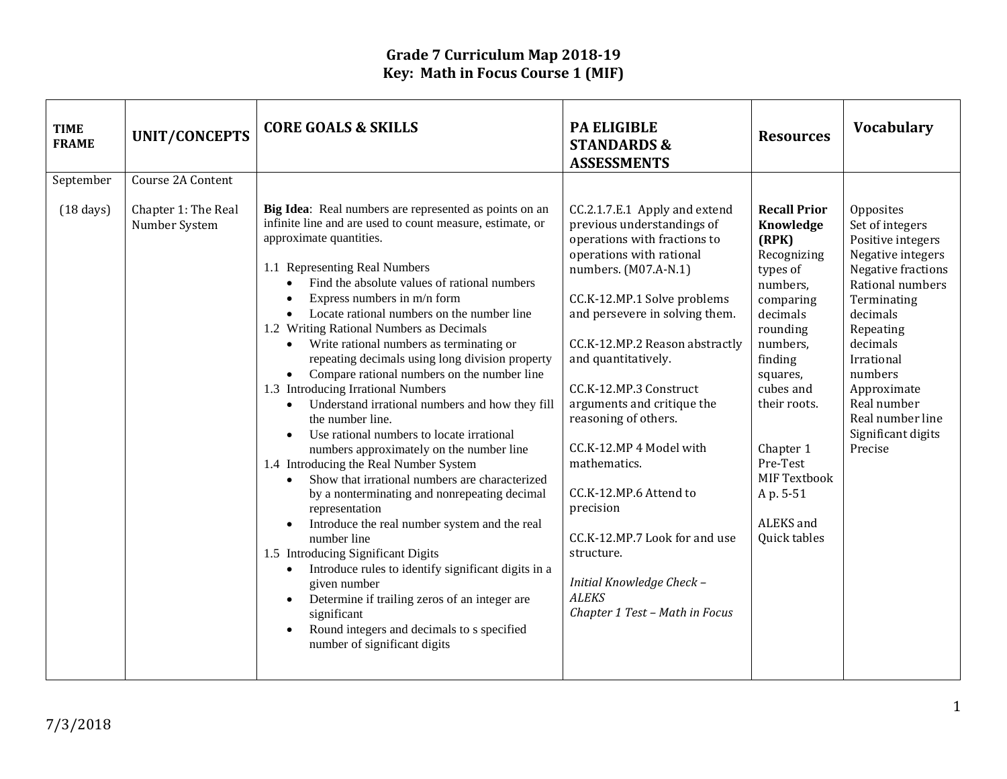| Course 2A Content<br>September<br>Big Idea: Real numbers are represented as points on an<br>$(18 \text{ days})$<br>Chapter 1: The Real<br>CC.2.1.7.E.1 Apply and extend<br><b>Recall Prior</b><br>infinite line and are used to count measure, estimate, or<br>Number System<br>previous understandings of<br>Knowledge<br>approximate quantities.<br>operations with fractions to<br>(RPK)<br>operations with rational<br>Recognizing<br>1.1 Representing Real Numbers<br>numbers. (M07.A-N.1)<br>types of<br>Find the absolute values of rational numbers<br>$\bullet$<br>numbers.<br>Express numbers in m/n form<br>CC.K-12.MP.1 Solve problems<br>comparing<br>$\bullet$<br>and persevere in solving them.<br>Locate rational numbers on the number line<br>decimals<br>$\bullet$<br>1.2 Writing Rational Numbers as Decimals<br>rounding<br>Write rational numbers as terminating or<br>CC.K-12.MP.2 Reason abstractly<br>numbers,<br>$\bullet$<br>repeating decimals using long division property<br>and quantitatively.                                                                                                                                                                                                                                    | <b>Vocabulary</b><br><b>Resources</b>                                                                                                                                                                                                                                                       |
|-------------------------------------------------------------------------------------------------------------------------------------------------------------------------------------------------------------------------------------------------------------------------------------------------------------------------------------------------------------------------------------------------------------------------------------------------------------------------------------------------------------------------------------------------------------------------------------------------------------------------------------------------------------------------------------------------------------------------------------------------------------------------------------------------------------------------------------------------------------------------------------------------------------------------------------------------------------------------------------------------------------------------------------------------------------------------------------------------------------------------------------------------------------------------------------------------------------------------------------------------------------------|---------------------------------------------------------------------------------------------------------------------------------------------------------------------------------------------------------------------------------------------------------------------------------------------|
| Compare rational numbers on the number line<br>squares,<br>$\bullet$<br>1.3 Introducing Irrational Numbers<br>CC.K-12.MP.3 Construct<br>cubes and<br>arguments and critique the<br>their roots.<br>Understand irrational numbers and how they fill<br>$\bullet$<br>reasoning of others.<br>the number line.<br>Use rational numbers to locate irrational<br>$\bullet$<br>CC.K-12.MP 4 Model with<br>Chapter 1<br>numbers approximately on the number line<br>mathematics.<br>Pre-Test<br>1.4 Introducing the Real Number System<br>MIF Textbook<br>Show that irrational numbers are characterized<br>$\bullet$<br>CC.K-12.MP.6 Attend to<br>A p. 5-51<br>by a nonterminating and nonrepeating decimal<br>precision<br>representation<br>ALEKS and<br>Introduce the real number system and the real<br>$\bullet$<br>CC.K-12.MP.7 Look for and use<br>Quick tables<br>number line<br>1.5 Introducing Significant Digits<br>structure.<br>Introduce rules to identify significant digits in a<br>$\bullet$<br>Initial Knowledge Check -<br>given number<br><b>ALEKS</b><br>Determine if trailing zeros of an integer are<br>$\bullet$<br>Chapter 1 Test - Math in Focus<br>significant<br>Round integers and decimals to s specified<br>number of significant digits | Opposites<br>Set of integers<br>Positive integers<br>Negative integers<br>Negative fractions<br>Rational numbers<br>Terminating<br>decimals<br>Repeating<br>decimals<br>finding<br>Irrational<br>numbers<br>Approximate<br>Real number<br>Real number line<br>Significant digits<br>Precise |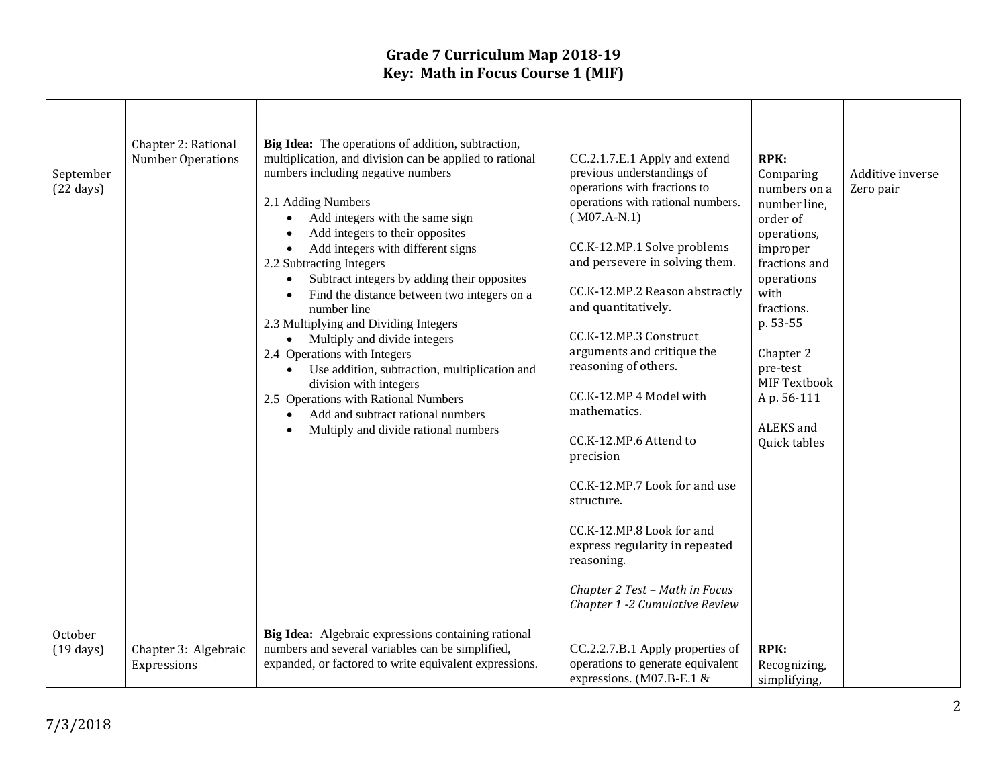| September<br>$(22 \text{ days})$<br>October | Chapter 2: Rational<br>Number Operations | Big Idea: The operations of addition, subtraction,<br>multiplication, and division can be applied to rational<br>numbers including negative numbers<br>2.1 Adding Numbers<br>Add integers with the same sign<br>$\bullet$<br>Add integers to their opposites<br>Add integers with different signs<br>$\bullet$<br>2.2 Subtracting Integers<br>Subtract integers by adding their opposites<br>Find the distance between two integers on a<br>number line<br>2.3 Multiplying and Dividing Integers<br>• Multiply and divide integers<br>2.4 Operations with Integers<br>Use addition, subtraction, multiplication and<br>$\bullet$<br>division with integers<br>2.5 Operations with Rational Numbers<br>Add and subtract rational numbers<br>Multiply and divide rational numbers<br>Big Idea: Algebraic expressions containing rational | CC.2.1.7.E.1 Apply and extend<br>previous understandings of<br>operations with fractions to<br>operations with rational numbers.<br>$(M07.A-N.1)$<br>CC.K-12.MP.1 Solve problems<br>and persevere in solving them.<br>CC.K-12.MP.2 Reason abstractly<br>and quantitatively.<br>CC.K-12.MP.3 Construct<br>arguments and critique the<br>reasoning of others.<br>CC.K-12.MP 4 Model with<br>mathematics.<br>CC.K-12.MP.6 Attend to<br>precision<br>CC.K-12.MP.7 Look for and use<br>structure.<br>CC.K-12.MP.8 Look for and<br>express regularity in repeated<br>reasoning.<br>Chapter 2 Test - Math in Focus<br>Chapter 1 -2 Cumulative Review | RPK:<br>Comparing<br>numbers on a<br>number line,<br>order of<br>operations,<br>improper<br>fractions and<br>operations<br>with<br>fractions.<br>p. 53-55<br>Chapter 2<br>pre-test<br><b>MIF Textbook</b><br>Ap. 56-111<br>ALEKS and<br>Quick tables | Additive inverse<br>Zero pair |
|---------------------------------------------|------------------------------------------|----------------------------------------------------------------------------------------------------------------------------------------------------------------------------------------------------------------------------------------------------------------------------------------------------------------------------------------------------------------------------------------------------------------------------------------------------------------------------------------------------------------------------------------------------------------------------------------------------------------------------------------------------------------------------------------------------------------------------------------------------------------------------------------------------------------------------------------|-----------------------------------------------------------------------------------------------------------------------------------------------------------------------------------------------------------------------------------------------------------------------------------------------------------------------------------------------------------------------------------------------------------------------------------------------------------------------------------------------------------------------------------------------------------------------------------------------------------------------------------------------|------------------------------------------------------------------------------------------------------------------------------------------------------------------------------------------------------------------------------------------------------|-------------------------------|
| $(19 \text{ days})$                         | Chapter 3: Algebraic<br>Expressions      | numbers and several variables can be simplified,<br>expanded, or factored to write equivalent expressions.                                                                                                                                                                                                                                                                                                                                                                                                                                                                                                                                                                                                                                                                                                                             | CC.2.2.7.B.1 Apply properties of<br>operations to generate equivalent<br>expressions. (M07.B-E.1 $&$                                                                                                                                                                                                                                                                                                                                                                                                                                                                                                                                          | <b>RPK:</b><br>Recognizing,<br>simplifying,                                                                                                                                                                                                          |                               |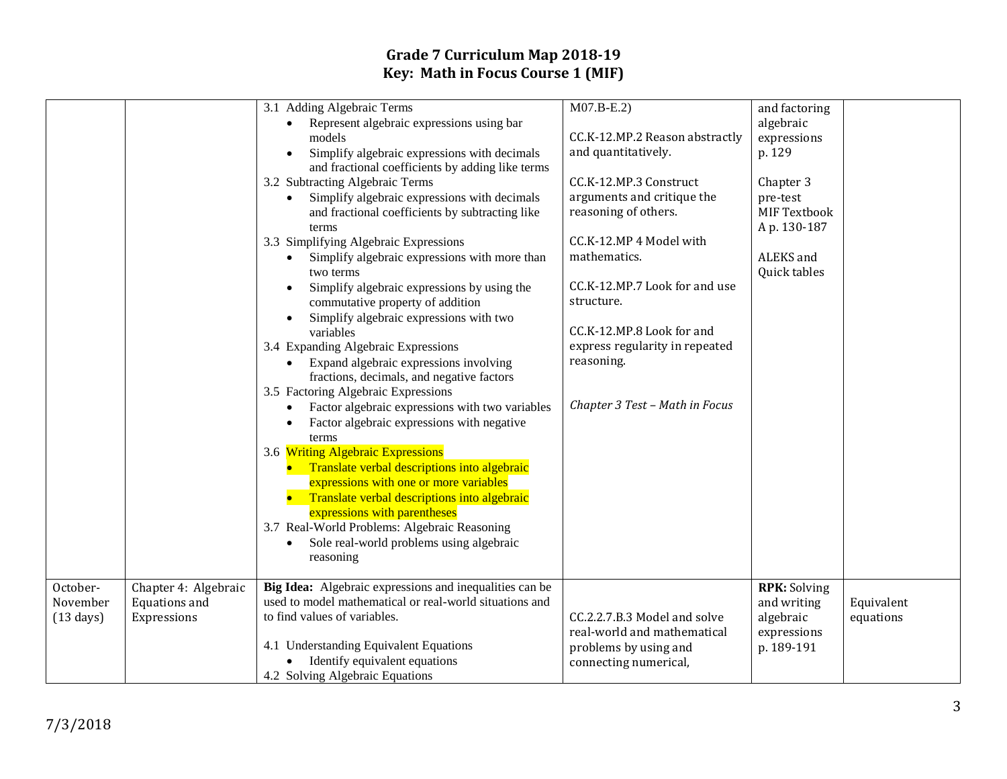|                     |                      | 3.1 Adding Algebraic Terms                                                                                              | $M07.B-E.2)$                   | and factoring            |            |
|---------------------|----------------------|-------------------------------------------------------------------------------------------------------------------------|--------------------------------|--------------------------|------------|
|                     |                      | Represent algebraic expressions using bar<br>$\bullet$<br>models                                                        | CC.K-12.MP.2 Reason abstractly | algebraic<br>expressions |            |
|                     |                      | Simplify algebraic expressions with decimals                                                                            | and quantitatively.            | p. 129                   |            |
|                     |                      | and fractional coefficients by adding like terms                                                                        |                                |                          |            |
|                     |                      | 3.2 Subtracting Algebraic Terms                                                                                         | CC.K-12.MP.3 Construct         | Chapter 3                |            |
|                     |                      | Simplify algebraic expressions with decimals                                                                            | arguments and critique the     | pre-test                 |            |
|                     |                      | and fractional coefficients by subtracting like                                                                         | reasoning of others.           | <b>MIF Textbook</b>      |            |
|                     |                      | terms                                                                                                                   |                                | Ap. 130-187              |            |
|                     |                      | 3.3 Simplifying Algebraic Expressions                                                                                   | CC.K-12.MP 4 Model with        |                          |            |
|                     |                      | Simplify algebraic expressions with more than                                                                           | mathematics.                   | ALEKS and                |            |
|                     |                      | two terms                                                                                                               | CC.K-12.MP.7 Look for and use  | Quick tables             |            |
|                     |                      | Simplify algebraic expressions by using the<br>commutative property of addition                                         | structure.                     |                          |            |
|                     |                      | Simplify algebraic expressions with two                                                                                 |                                |                          |            |
|                     |                      | variables                                                                                                               | CC.K-12.MP.8 Look for and      |                          |            |
|                     |                      | 3.4 Expanding Algebraic Expressions                                                                                     | express regularity in repeated |                          |            |
|                     |                      | Expand algebraic expressions involving                                                                                  | reasoning.                     |                          |            |
|                     |                      | fractions, decimals, and negative factors                                                                               |                                |                          |            |
|                     |                      | 3.5 Factoring Algebraic Expressions                                                                                     | Chapter 3 Test - Math in Focus |                          |            |
|                     |                      | Factor algebraic expressions with two variables<br>$\bullet$<br>Factor algebraic expressions with negative<br>$\bullet$ |                                |                          |            |
|                     |                      | terms                                                                                                                   |                                |                          |            |
|                     |                      | 3.6 Writing Algebraic Expressions                                                                                       |                                |                          |            |
|                     |                      | Translate verbal descriptions into algebraic                                                                            |                                |                          |            |
|                     |                      | expressions with one or more variables                                                                                  |                                |                          |            |
|                     |                      | Translate verbal descriptions into algebraic                                                                            |                                |                          |            |
|                     |                      | expressions with parentheses                                                                                            |                                |                          |            |
|                     |                      | 3.7 Real-World Problems: Algebraic Reasoning                                                                            |                                |                          |            |
|                     |                      | Sole real-world problems using algebraic                                                                                |                                |                          |            |
|                     |                      | reasoning                                                                                                               |                                |                          |            |
| October-            | Chapter 4: Algebraic | Big Idea: Algebraic expressions and inequalities can be                                                                 |                                | <b>RPK: Solving</b>      |            |
| November            | Equations and        | used to model mathematical or real-world situations and                                                                 |                                | and writing              | Equivalent |
| $(13 \text{ days})$ | Expressions          | to find values of variables.                                                                                            | CC.2.2.7.B.3 Model and solve   | algebraic                | equations  |
|                     |                      |                                                                                                                         | real-world and mathematical    | expressions              |            |
|                     |                      | 4.1 Understanding Equivalent Equations                                                                                  | problems by using and          | p. 189-191               |            |
|                     |                      | Identify equivalent equations                                                                                           | connecting numerical,          |                          |            |
|                     |                      | 4.2 Solving Algebraic Equations                                                                                         |                                |                          |            |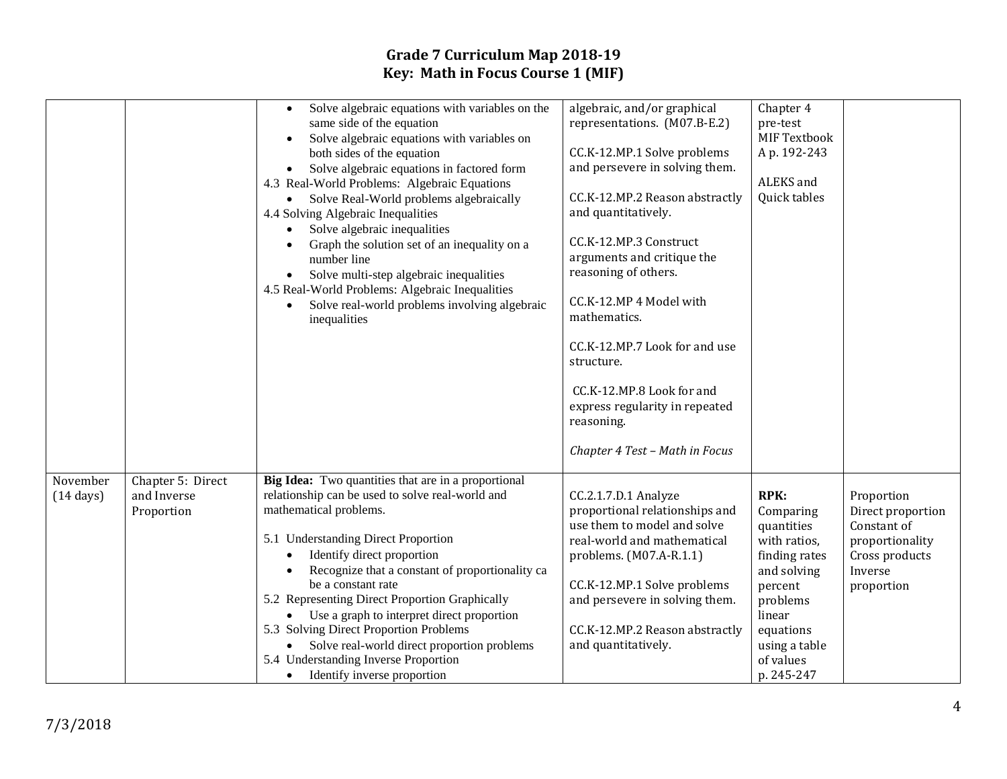|                                 |                                                | Solve algebraic equations with variables on the<br>$\bullet$<br>same side of the equation<br>Solve algebraic equations with variables on<br>both sides of the equation<br>Solve algebraic equations in factored form<br>$\bullet$<br>4.3 Real-World Problems: Algebraic Equations<br>Solve Real-World problems algebraically<br>4.4 Solving Algebraic Inequalities<br>Solve algebraic inequalities<br>Graph the solution set of an inequality on a<br>number line<br>Solve multi-step algebraic inequalities<br>4.5 Real-World Problems: Algebraic Inequalities<br>Solve real-world problems involving algebraic<br>$\bullet$<br>inequalities | algebraic, and/or graphical<br>representations. (M07.B-E.2)<br>CC.K-12.MP.1 Solve problems<br>and persevere in solving them.<br>CC.K-12.MP.2 Reason abstractly<br>and quantitatively.<br>CC.K-12.MP.3 Construct<br>arguments and critique the<br>reasoning of others.<br>CC.K-12.MP 4 Model with<br>mathematics.<br>CC.K-12.MP.7 Look for and use<br>structure.<br>CC.K-12.MP.8 Look for and<br>express regularity in repeated<br>reasoning.<br>Chapter 4 Test - Math in Focus | Chapter 4<br>pre-test<br>MIF Textbook<br>Ap. 192-243<br>ALEKS and<br>Quick tables                                                                                                |                                                                                                              |
|---------------------------------|------------------------------------------------|-----------------------------------------------------------------------------------------------------------------------------------------------------------------------------------------------------------------------------------------------------------------------------------------------------------------------------------------------------------------------------------------------------------------------------------------------------------------------------------------------------------------------------------------------------------------------------------------------------------------------------------------------|--------------------------------------------------------------------------------------------------------------------------------------------------------------------------------------------------------------------------------------------------------------------------------------------------------------------------------------------------------------------------------------------------------------------------------------------------------------------------------|----------------------------------------------------------------------------------------------------------------------------------------------------------------------------------|--------------------------------------------------------------------------------------------------------------|
| November<br>$(14 \text{ days})$ | Chapter 5: Direct<br>and Inverse<br>Proportion | Big Idea: Two quantities that are in a proportional<br>relationship can be used to solve real-world and<br>mathematical problems.<br>5.1 Understanding Direct Proportion<br>Identify direct proportion<br>Recognize that a constant of proportionality ca<br>be a constant rate<br>5.2 Representing Direct Proportion Graphically<br>• Use a graph to interpret direct proportion<br>5.3 Solving Direct Proportion Problems<br>Solve real-world direct proportion problems<br>5.4 Understanding Inverse Proportion<br>Identify inverse proportion<br>$\bullet$                                                                                | CC.2.1.7.D.1 Analyze<br>proportional relationships and<br>use them to model and solve<br>real-world and mathematical<br>problems. $(M07.A-R.1.1)$<br>CC.K-12.MP.1 Solve problems<br>and persevere in solving them.<br>CC.K-12.MP.2 Reason abstractly<br>and quantitatively.                                                                                                                                                                                                    | <b>RPK:</b><br>Comparing<br>quantities<br>with ratios,<br>finding rates<br>and solving<br>percent<br>problems<br>linear<br>equations<br>using a table<br>of values<br>p. 245-247 | Proportion<br>Direct proportion<br>Constant of<br>proportionality<br>Cross products<br>Inverse<br>proportion |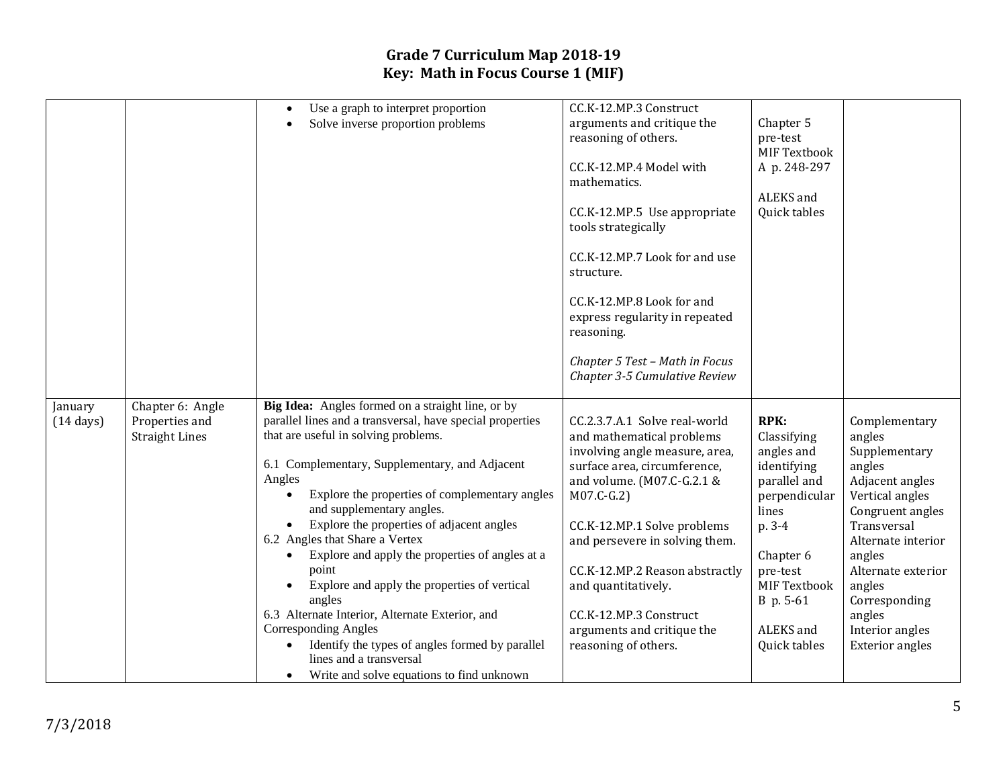|                     |                       | Use a graph to interpret proportion                          | CC.K-12.MP.3 Construct         |                     |                        |
|---------------------|-----------------------|--------------------------------------------------------------|--------------------------------|---------------------|------------------------|
|                     |                       | Solve inverse proportion problems                            | arguments and critique the     | Chapter 5           |                        |
|                     |                       |                                                              | reasoning of others.           | pre-test            |                        |
|                     |                       |                                                              |                                | <b>MIF Textbook</b> |                        |
|                     |                       |                                                              | CC.K-12.MP.4 Model with        | A p. 248-297        |                        |
|                     |                       |                                                              | mathematics.                   |                     |                        |
|                     |                       |                                                              |                                | ALEKS and           |                        |
|                     |                       |                                                              | CC.K-12.MP.5 Use appropriate   | Quick tables        |                        |
|                     |                       |                                                              | tools strategically            |                     |                        |
|                     |                       |                                                              |                                |                     |                        |
|                     |                       |                                                              | CC.K-12.MP.7 Look for and use  |                     |                        |
|                     |                       |                                                              | structure.                     |                     |                        |
|                     |                       |                                                              |                                |                     |                        |
|                     |                       |                                                              | CC.K-12.MP.8 Look for and      |                     |                        |
|                     |                       |                                                              | express regularity in repeated |                     |                        |
|                     |                       |                                                              | reasoning.                     |                     |                        |
|                     |                       |                                                              |                                |                     |                        |
|                     |                       |                                                              | Chapter 5 Test - Math in Focus |                     |                        |
|                     |                       |                                                              | Chapter 3-5 Cumulative Review  |                     |                        |
|                     |                       |                                                              |                                |                     |                        |
| January             | Chapter 6: Angle      | Big Idea: Angles formed on a straight line, or by            |                                |                     |                        |
| $(14 \text{ days})$ | Properties and        | parallel lines and a transversal, have special properties    | CC.2.3.7.A.1 Solve real-world  | <b>RPK:</b>         | Complementary          |
|                     | <b>Straight Lines</b> | that are useful in solving problems.                         | and mathematical problems      | Classifying         | angles                 |
|                     |                       |                                                              | involving angle measure, area, | angles and          | Supplementary          |
|                     |                       | 6.1 Complementary, Supplementary, and Adjacent               | surface area, circumference,   | identifying         | angles                 |
|                     |                       | Angles                                                       | and volume. (M07.C-G.2.1 &     | parallel and        | Adjacent angles        |
|                     |                       | Explore the properties of complementary angles               | $M07.C-G.2)$                   | perpendicular       | Vertical angles        |
|                     |                       | and supplementary angles.                                    |                                | lines               | Congruent angles       |
|                     |                       | Explore the properties of adjacent angles                    | CC.K-12.MP.1 Solve problems    | p. 3-4              | Transversal            |
|                     |                       | 6.2 Angles that Share a Vertex                               | and persevere in solving them. |                     | Alternate interior     |
|                     |                       | Explore and apply the properties of angles at a<br>$\bullet$ |                                | Chapter 6           | angles                 |
|                     |                       | point                                                        | CC.K-12.MP.2 Reason abstractly | pre-test            | Alternate exterior     |
|                     |                       | Explore and apply the properties of vertical                 | and quantitatively.            | MIF Textbook        | angles                 |
|                     |                       | angles                                                       |                                | B p. 5-61           | Corresponding          |
|                     |                       | 6.3 Alternate Interior, Alternate Exterior, and              | CC.K-12.MP.3 Construct         |                     | angles                 |
|                     |                       | <b>Corresponding Angles</b>                                  | arguments and critique the     | ALEKS and           | Interior angles        |
|                     |                       | Identify the types of angles formed by parallel              | reasoning of others.           | Quick tables        | <b>Exterior</b> angles |
|                     |                       | lines and a transversal                                      |                                |                     |                        |
|                     |                       |                                                              |                                |                     |                        |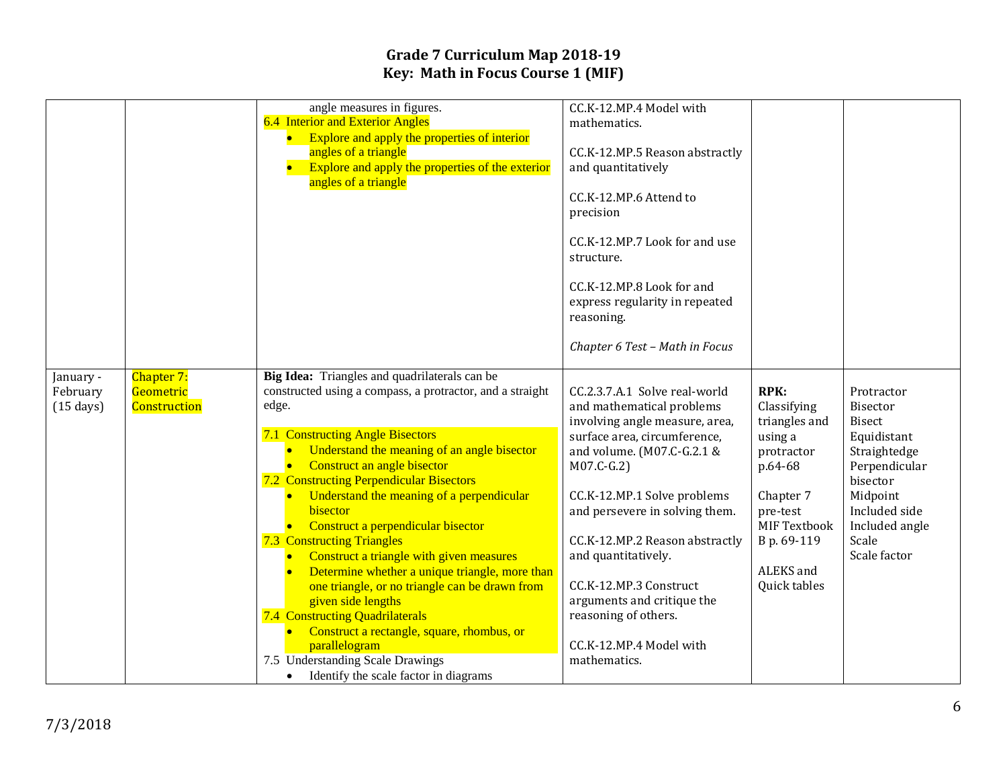|                     |                     | angle measures in figures.                                           | CC.K-12.MP.4 Model with                               |               |                         |
|---------------------|---------------------|----------------------------------------------------------------------|-------------------------------------------------------|---------------|-------------------------|
|                     |                     | 6.4 Interior and Exterior Angles                                     | mathematics.                                          |               |                         |
|                     |                     | • Explore and apply the properties of interior                       |                                                       |               |                         |
|                     |                     | angles of a triangle                                                 | CC.K-12.MP.5 Reason abstractly                        |               |                         |
|                     |                     | Explore and apply the properties of the exterior                     | and quantitatively                                    |               |                         |
|                     |                     | angles of a triangle                                                 |                                                       |               |                         |
|                     |                     |                                                                      | CC.K-12.MP.6 Attend to                                |               |                         |
|                     |                     |                                                                      | precision                                             |               |                         |
|                     |                     |                                                                      |                                                       |               |                         |
|                     |                     |                                                                      | CC.K-12.MP.7 Look for and use                         |               |                         |
|                     |                     |                                                                      | structure.                                            |               |                         |
|                     |                     |                                                                      |                                                       |               |                         |
|                     |                     |                                                                      | CC.K-12.MP.8 Look for and                             |               |                         |
|                     |                     |                                                                      | express regularity in repeated                        |               |                         |
|                     |                     |                                                                      | reasoning.                                            |               |                         |
|                     |                     |                                                                      |                                                       |               |                         |
|                     |                     |                                                                      | Chapter 6 Test - Math in Focus                        |               |                         |
|                     |                     |                                                                      |                                                       |               |                         |
| January -           | Chapter 7:          | Big Idea: Triangles and quadrilaterals can be                        |                                                       |               |                         |
| February            | Geometric           | constructed using a compass, a protractor, and a straight            | CC.2.3.7.A.1 Solve real-world                         | <b>RPK:</b>   | Protractor              |
| $(15 \text{ days})$ | <b>Construction</b> | edge.                                                                | and mathematical problems                             | Classifying   | <b>Bisector</b>         |
|                     |                     |                                                                      | involving angle measure, area,                        | triangles and | <b>Bisect</b>           |
|                     |                     | 7.1 Constructing Angle Bisectors                                     | surface area, circumference,                          | using a       | Equidistant             |
|                     |                     | Understand the meaning of an angle bisector                          | and volume. (M07.C-G.2.1 &                            | protractor    | Straightedge            |
|                     |                     | Construct an angle bisector                                          | $M07.C-G.2)$                                          | p.64-68       | Perpendicular           |
|                     |                     | 7.2 Constructing Perpendicular Bisectors                             |                                                       |               | bisector                |
|                     |                     | Understand the meaning of a perpendicular<br>bisector                | CC.K-12.MP.1 Solve problems                           | Chapter 7     | Midpoint                |
|                     |                     |                                                                      | and persevere in solving them.                        | pre-test      | Included side           |
|                     |                     | • Construct a perpendicular bisector                                 |                                                       | MIF Textbook  | Included angle<br>Scale |
|                     |                     | <b>7.3 Constructing Triangles</b>                                    | CC.K-12.MP.2 Reason abstractly<br>and quantitatively. | B p. 69-119   | Scale factor            |
|                     |                     | Construct a triangle with given measures<br>$\bullet$                |                                                       | ALEKS and     |                         |
|                     |                     | Determine whether a unique triangle, more than                       | CC.K-12.MP.3 Construct                                | Quick tables  |                         |
|                     |                     | one triangle, or no triangle can be drawn from<br>given side lengths | arguments and critique the                            |               |                         |
|                     |                     | 7.4 Constructing Quadrilaterals                                      | reasoning of others.                                  |               |                         |
|                     |                     | Construct a rectangle, square, rhombus, or                           |                                                       |               |                         |
|                     |                     | parallelogram                                                        | CC.K-12.MP.4 Model with                               |               |                         |
|                     |                     | 7.5 Understanding Scale Drawings                                     | mathematics.                                          |               |                         |
|                     |                     | Identify the scale factor in diagrams<br>$\bullet$                   |                                                       |               |                         |
|                     |                     |                                                                      |                                                       |               |                         |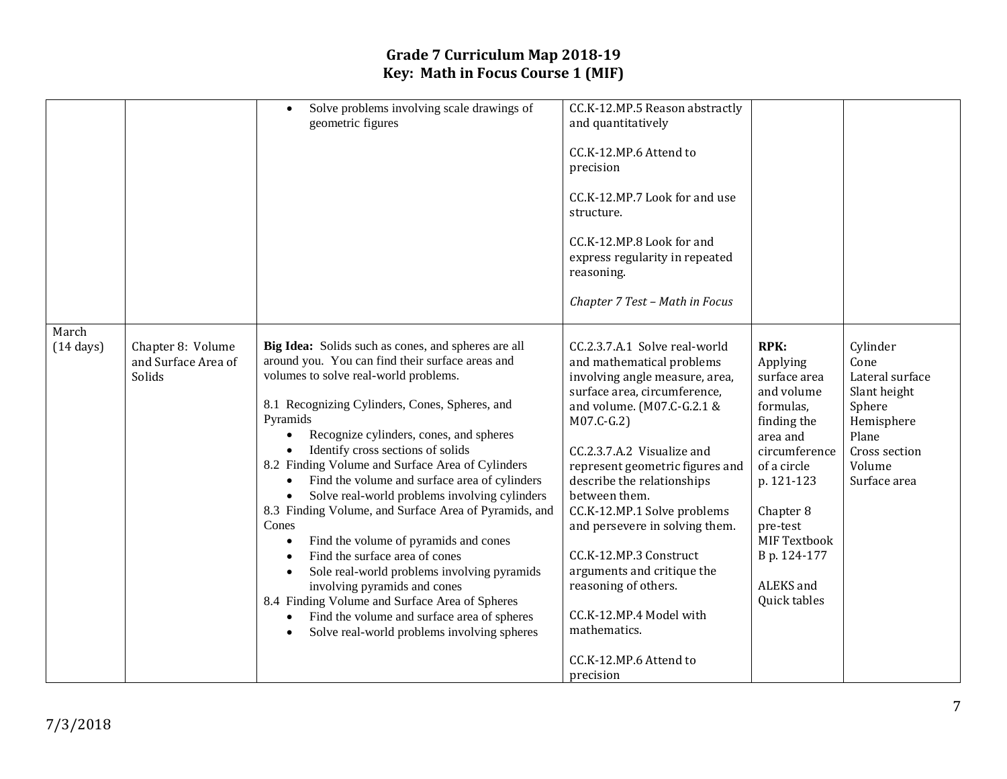|                              |                                                    | Solve problems involving scale drawings of<br>$\bullet$<br>geometric figures                                                                                                                                                                                                                                                                                                                                                                                                                                                                                                                                                                                                                                                                                                                                                                                                         | CC.K-12.MP.5 Reason abstractly<br>and quantitatively<br>CC.K-12.MP.6 Attend to<br>precision<br>CC.K-12.MP.7 Look for and use<br>structure.<br>CC.K-12.MP.8 Look for and<br>express regularity in repeated<br>reasoning.<br>Chapter 7 Test - Math in Focus                                                                                                                                                                                                                                                                     |                                                                                                                                                                                                                                   |                                                                                                                                 |
|------------------------------|----------------------------------------------------|--------------------------------------------------------------------------------------------------------------------------------------------------------------------------------------------------------------------------------------------------------------------------------------------------------------------------------------------------------------------------------------------------------------------------------------------------------------------------------------------------------------------------------------------------------------------------------------------------------------------------------------------------------------------------------------------------------------------------------------------------------------------------------------------------------------------------------------------------------------------------------------|-------------------------------------------------------------------------------------------------------------------------------------------------------------------------------------------------------------------------------------------------------------------------------------------------------------------------------------------------------------------------------------------------------------------------------------------------------------------------------------------------------------------------------|-----------------------------------------------------------------------------------------------------------------------------------------------------------------------------------------------------------------------------------|---------------------------------------------------------------------------------------------------------------------------------|
| March<br>$(14 \text{ days})$ | Chapter 8: Volume<br>and Surface Area of<br>Solids | Big Idea: Solids such as cones, and spheres are all<br>around you. You can find their surface areas and<br>volumes to solve real-world problems.<br>8.1 Recognizing Cylinders, Cones, Spheres, and<br>Pyramids<br>Recognize cylinders, cones, and spheres<br>Identify cross sections of solids<br>8.2 Finding Volume and Surface Area of Cylinders<br>Find the volume and surface area of cylinders<br>Solve real-world problems involving cylinders<br>8.3 Finding Volume, and Surface Area of Pyramids, and<br>Cones<br>Find the volume of pyramids and cones<br>$\bullet$<br>Find the surface area of cones<br>$\bullet$<br>Sole real-world problems involving pyramids<br>involving pyramids and cones<br>8.4 Finding Volume and Surface Area of Spheres<br>Find the volume and surface area of spheres<br>$\bullet$<br>Solve real-world problems involving spheres<br>$\bullet$ | CC.2.3.7.A.1 Solve real-world<br>and mathematical problems<br>involving angle measure, area,<br>surface area, circumference,<br>and volume. (M07.C-G.2.1 &<br>$M07.C-G.2)$<br>CC.2.3.7.A.2 Visualize and<br>represent geometric figures and<br>describe the relationships<br>between them.<br>CC.K-12.MP.1 Solve problems<br>and persevere in solving them.<br>CC.K-12.MP.3 Construct<br>arguments and critique the<br>reasoning of others.<br>CC.K-12.MP.4 Model with<br>mathematics.<br>CC.K-12.MP.6 Attend to<br>precision | <b>RPK:</b><br>Applying<br>surface area<br>and volume<br>formulas,<br>finding the<br>area and<br>circumference<br>of a circle<br>p. 121-123<br>Chapter 8<br>pre-test<br>MIF Textbook<br>B p. 124-177<br>ALEKS and<br>Quick tables | Cylinder<br>Cone<br>Lateral surface<br>Slant height<br>Sphere<br>Hemisphere<br>Plane<br>Cross section<br>Volume<br>Surface area |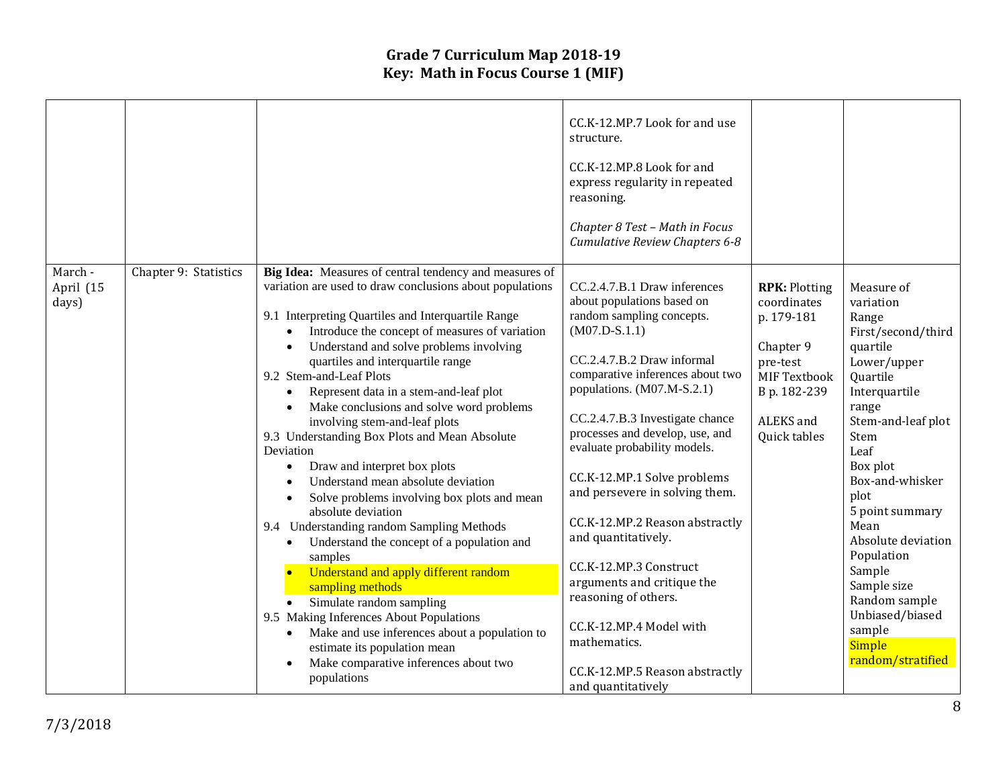|                               |                       |                                                                                                                                                                                                                                                                                                                                                                                                                                                                                                                                                                                                                                                                                                                                                                                                                                                                                                                                                                                                                                                                                    | CC.K-12.MP.7 Look for and use<br>structure.<br>CC.K-12.MP.8 Look for and<br>express regularity in repeated<br>reasoning.<br>Chapter 8 Test - Math in Focus<br>Cumulative Review Chapters 6-8                                                                                                                                                                                                                                                                                                                                                                                                                                  |                                                                                                                                         |                                                                                                                                                                                                                                                                                                                                                                                  |
|-------------------------------|-----------------------|------------------------------------------------------------------------------------------------------------------------------------------------------------------------------------------------------------------------------------------------------------------------------------------------------------------------------------------------------------------------------------------------------------------------------------------------------------------------------------------------------------------------------------------------------------------------------------------------------------------------------------------------------------------------------------------------------------------------------------------------------------------------------------------------------------------------------------------------------------------------------------------------------------------------------------------------------------------------------------------------------------------------------------------------------------------------------------|-------------------------------------------------------------------------------------------------------------------------------------------------------------------------------------------------------------------------------------------------------------------------------------------------------------------------------------------------------------------------------------------------------------------------------------------------------------------------------------------------------------------------------------------------------------------------------------------------------------------------------|-----------------------------------------------------------------------------------------------------------------------------------------|----------------------------------------------------------------------------------------------------------------------------------------------------------------------------------------------------------------------------------------------------------------------------------------------------------------------------------------------------------------------------------|
| March -<br>April (15<br>days) | Chapter 9: Statistics | Big Idea: Measures of central tendency and measures of<br>variation are used to draw conclusions about populations<br>9.1 Interpreting Quartiles and Interquartile Range<br>Introduce the concept of measures of variation<br>Understand and solve problems involving<br>quartiles and interquartile range<br>9.2 Stem-and-Leaf Plots<br>Represent data in a stem-and-leaf plot<br>Make conclusions and solve word problems<br>involving stem-and-leaf plots<br>9.3 Understanding Box Plots and Mean Absolute<br>Deviation<br>Draw and interpret box plots<br>Understand mean absolute deviation<br>Solve problems involving box plots and mean<br>absolute deviation<br>9.4 Understanding random Sampling Methods<br>Understand the concept of a population and<br>$\bullet$<br>samples<br>Understand and apply different random<br>sampling methods<br>Simulate random sampling<br>9.5 Making Inferences About Populations<br>Make and use inferences about a population to<br>$\bullet$<br>estimate its population mean<br>Make comparative inferences about two<br>populations | CC.2.4.7.B.1 Draw inferences<br>about populations based on<br>random sampling concepts.<br>$(M07.D-S.1.1)$<br>CC.2.4.7.B.2 Draw informal<br>comparative inferences about two<br>populations. (M07.M-S.2.1)<br>CC.2.4.7.B.3 Investigate chance<br>processes and develop, use, and<br>evaluate probability models.<br>CC.K-12.MP.1 Solve problems<br>and persevere in solving them.<br>CC.K-12.MP.2 Reason abstractly<br>and quantitatively.<br>CC.K-12.MP.3 Construct<br>arguments and critique the<br>reasoning of others.<br>CC.K-12.MP.4 Model with<br>mathematics.<br>CC.K-12.MP.5 Reason abstractly<br>and quantitatively | <b>RPK: Plotting</b><br>coordinates<br>p. 179-181<br>Chapter 9<br>pre-test<br>MIF Textbook<br>B p. 182-239<br>ALEKS and<br>Quick tables | Measure of<br>variation<br>Range<br>First/second/third<br>quartile<br>Lower/upper<br>Quartile<br>Interquartile<br>range<br>Stem-and-leaf plot<br>Stem<br>Leaf<br>Box plot<br>Box-and-whisker<br>plot<br>5 point summary<br>Mean<br>Absolute deviation<br>Population<br>Sample<br>Sample size<br>Random sample<br>Unbiased/biased<br>sample<br><b>Simple</b><br>random/stratified |